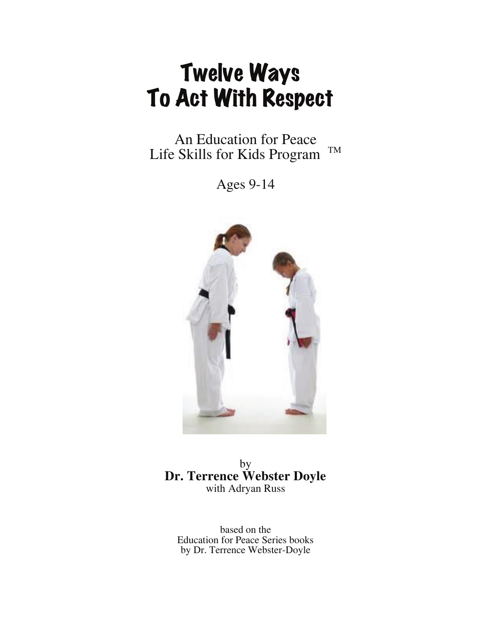# Twelve Ways To Act With Respect

An Education for Peace Life Skills for Kids Program TM

Ages 9-14



by **Dr. Terrence Webster Doyle** with Adryan Russ

based on the Education for Peace Series books by Dr. Terrence Webster-Doyle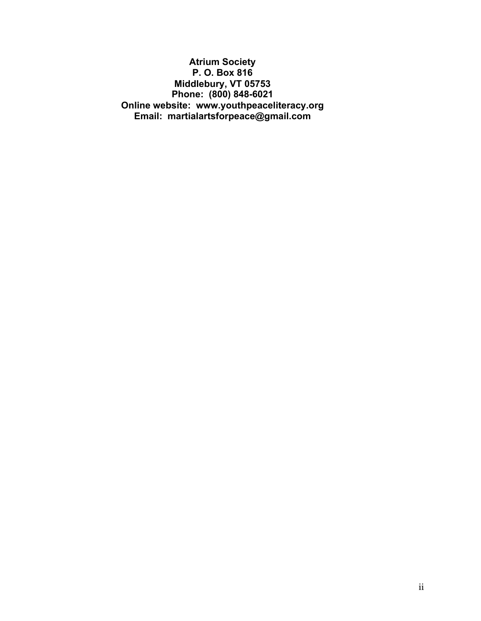**Atrium Society P. O. Box 816 Middlebury, VT 05753 Phone: (800) 848-6021 Online website: www.youthpeaceliteracy.org Email: martialartsforpeace@gmail.com**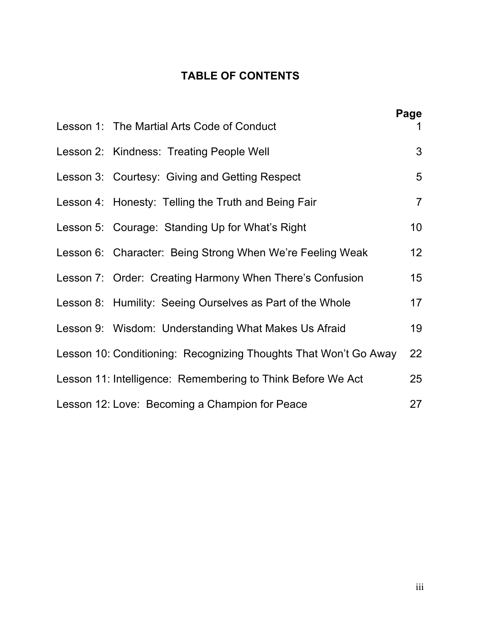## **TABLE OF CONTENTS**

|                                                                  | Page           |
|------------------------------------------------------------------|----------------|
| Lesson 1: The Martial Arts Code of Conduct                       | 1              |
| Lesson 2: Kindness: Treating People Well                         | 3              |
| Lesson 3: Courtesy: Giving and Getting Respect                   | 5              |
| Lesson 4: Honesty: Telling the Truth and Being Fair              | $\overline{7}$ |
| Lesson 5: Courage: Standing Up for What's Right                  | 10             |
| Lesson 6: Character: Being Strong When We're Feeling Weak        | 12             |
| Lesson 7: Order: Creating Harmony When There's Confusion         | 15             |
| Lesson 8: Humility: Seeing Ourselves as Part of the Whole        | 17             |
| Lesson 9: Wisdom: Understanding What Makes Us Afraid             | 19             |
| Lesson 10: Conditioning: Recognizing Thoughts That Won't Go Away | 22             |
| Lesson 11: Intelligence: Remembering to Think Before We Act      | 25             |
| Lesson 12: Love: Becoming a Champion for Peace                   | 27             |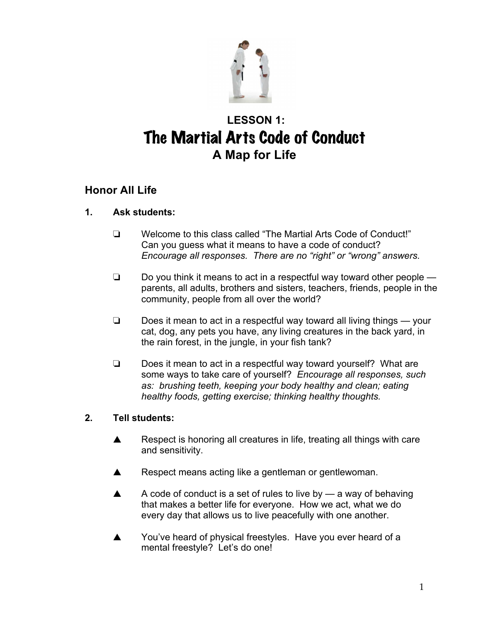

# **LESSON 1:**  The Martial Arts Code of Conduct **A Map for Life**

## **Honor All Life**

#### **1. Ask students:**

- ! Welcome to this class called "The Martial Arts Code of Conduct!" Can you guess what it means to have a code of conduct? *Encourage all responses. There are no "right" or "wrong" answers.*
- $\Box$  Do you think it means to act in a respectful way toward other people  $\Box$ parents, all adults, brothers and sisters, teachers, friends, people in the community, people from all over the world?
- $\Box$  Does it mean to act in a respectful way toward all living things your cat, dog, any pets you have, any living creatures in the back yard, in the rain forest, in the jungle, in your fish tank?
- $\Box$  Does it mean to act in a respectful way toward yourself? What are some ways to take care of yourself? *Encourage all responses, such as: brushing teeth, keeping your body healthy and clean; eating healthy foods, getting exercise; thinking healthy thoughts.*

- $\triangle$  Respect is honoring all creatures in life, treating all things with care and sensitivity.
- $\blacktriangle$  Respect means acting like a gentleman or gentlewoman.
- $\blacktriangle$  A code of conduct is a set of rules to live by a way of behaving that makes a better life for everyone. How we act, what we do every day that allows us to live peacefully with one another.
- You've heard of physical freestyles. Have you ever heard of a mental freestyle? Let's do one!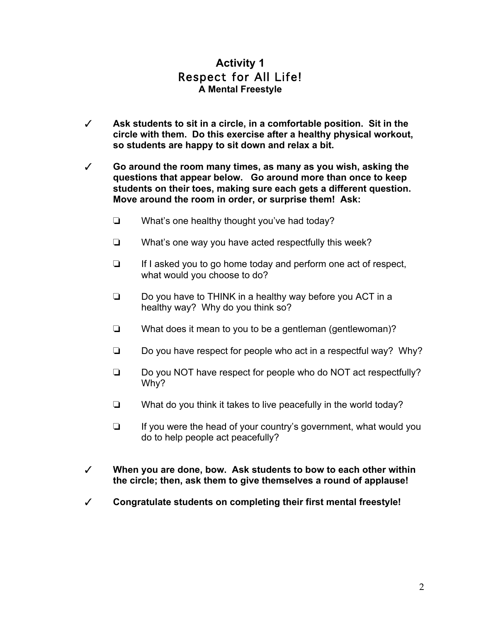## **Activity 1** Respect for All Life! **A Mental Freestyle**

- # **Ask students to sit in a circle, in a comfortable position. Sit in the circle with them. Do this exercise after a healthy physical workout, so students are happy to sit down and relax a bit.**
- # **Go around the room many times, as many as you wish, asking the questions that appear below. Go around more than once to keep students on their toes, making sure each gets a different question. Move around the room in order, or surprise them! Ask:**
	- $\Box$  What's one healthy thought you've had today?
	- $\Box$  What's one way you have acted respectfully this week?
	- $\Box$  If I asked you to go home today and perform one act of respect, what would you choose to do?
	- $\Box$  Do you have to THINK in a healthy way before you ACT in a healthy way? Why do you think so?
	- $\Box$  What does it mean to you to be a gentleman (gentlewoman)?
	- $\Box$  Do you have respect for people who act in a respectful way? Why?
	- □ Do you NOT have respect for people who do NOT act respectfully? Why?
	- $\Box$  What do you think it takes to live peacefully in the world today?
	- $\Box$  If you were the head of your country's government, what would you do to help people act peacefully?
- # **When you are done, bow. Ask students to bow to each other within the circle; then, ask them to give themselves a round of applause!**
- # **Congratulate students on completing their first mental freestyle!**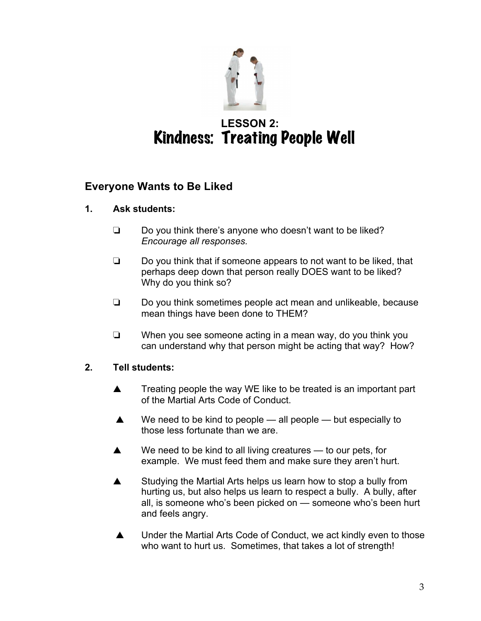

# **LESSON 2:**  Kindness: Treating People Well

## **Everyone Wants to Be Liked**

## **1. Ask students:**

- $\Box$  Do you think there's anyone who doesn't want to be liked? *Encourage all responses.*
- $\Box$  Do you think that if someone appears to not want to be liked, that perhaps deep down that person really DOES want to be liked? Why do you think so?
- $\Box$  Do you think sometimes people act mean and unlikeable, because mean things have been done to THEM?
- $\Box$  When you see someone acting in a mean way, do you think you can understand why that person might be acting that way? How?

- $\triangle$  Treating people the way WE like to be treated is an important part of the Martial Arts Code of Conduct.
- $\triangle$  We need to be kind to people all people but especially to those less fortunate than we are.
- $\blacktriangle$  We need to be kind to all living creatures to our pets, for example. We must feed them and make sure they aren't hurt.
- $\blacktriangle$  Studying the Martial Arts helps us learn how to stop a bully from hurting us, but also helps us learn to respect a bully. A bully, after all, is someone who's been picked on — someone who's been hurt and feels angry.
- ▲ Under the Martial Arts Code of Conduct, we act kindly even to those who want to hurt us. Sometimes, that takes a lot of strength!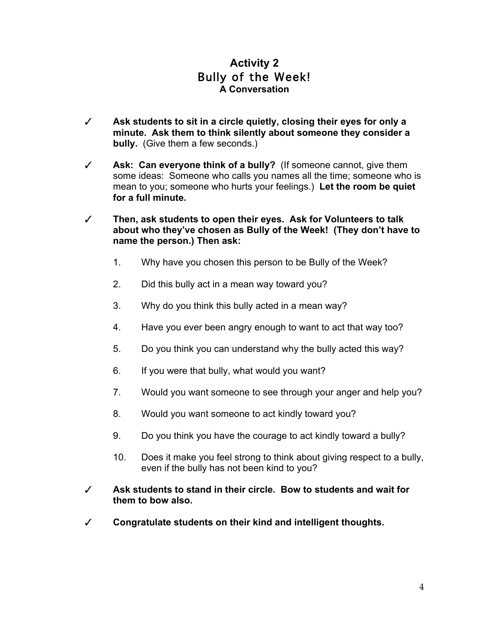## **Activity 2** Bully of the Week! **A Conversation**

- # **Ask students to sit in a circle quietly, closing their eyes for only a minute. Ask them to think silently about someone they consider a bully.** (Give them a few seconds.)
- # **Ask: Can everyone think of a bully?** (If someone cannot, give them some ideas: Someone who calls you names all the time; someone who is mean to you; someone who hurts your feelings.) **Let the room be quiet for a full minute.**
- # **Then, ask students to open their eyes. Ask for Volunteers to talk about who they've chosen as Bully of the Week! (They don't have to name the person.) Then ask:**
	- 1. Why have you chosen this person to be Bully of the Week?
	- 2. Did this bully act in a mean way toward you?
	- 3. Why do you think this bully acted in a mean way?
	- 4. Have you ever been angry enough to want to act that way too?
	- 5. Do you think you can understand why the bully acted this way?
	- 6. If you were that bully, what would you want?
	- 7. Would you want someone to see through your anger and help you?
	- 8. Would you want someone to act kindly toward you?
	- 9. Do you think you have the courage to act kindly toward a bully?
	- 10. Does it make you feel strong to think about giving respect to a bully, even if the bully has not been kind to you?
- # **Ask students to stand in their circle. Bow to students and wait for them to bow also.**
- # **Congratulate students on their kind and intelligent thoughts.**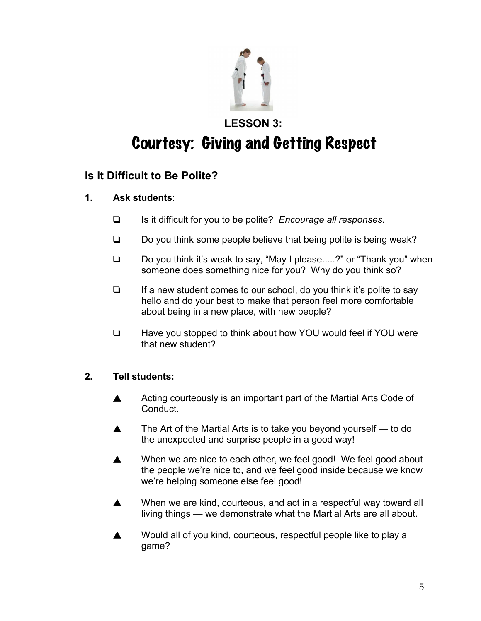

# **LESSON 3:**  Courtesy: Giving and Getting Respect

## **Is It Difficult to Be Polite?**

- **1. Ask students**:
	- □ Is it difficult for you to be polite? *Encourage all responses.*
	- $\Box$  Do you think some people believe that being polite is being weak?
	- $\Box$  Do you think it's weak to say, "May I please.....?" or "Thank you" when someone does something nice for you? Why do you think so?
	- $\Box$  If a new student comes to our school, do you think it's polite to say hello and do your best to make that person feel more comfortable about being in a new place, with new people?
	- □ Have you stopped to think about how YOU would feel if YOU were that new student?

- $\triangle$  Acting courteously is an important part of the Martial Arts Code of Conduct.
- $\blacktriangle$  The Art of the Martial Arts is to take you beyond yourself to do the unexpected and surprise people in a good way!
- ▲ When we are nice to each other, we feel good! We feel good about the people we're nice to, and we feel good inside because we know we're helping someone else feel good!
- $\triangle$  When we are kind, courteous, and act in a respectful way toward all living things — we demonstrate what the Martial Arts are all about.
- $\triangle$  Would all of you kind, courteous, respectful people like to play a game?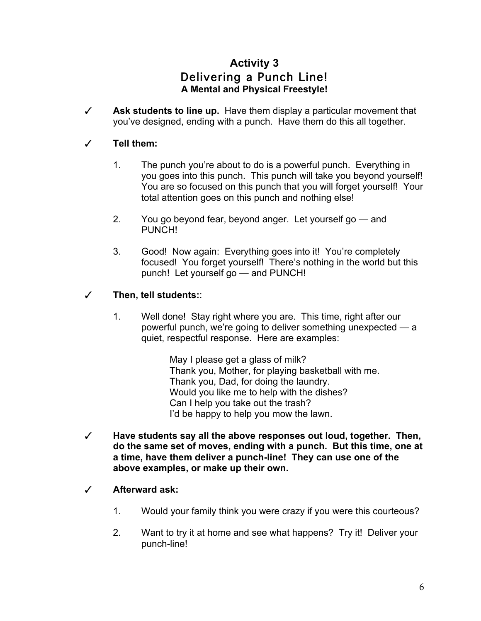## **Activity 3** Delivering a Punch Line! **A Mental and Physical Freestyle!**

 $\checkmark$  **Ask students to line up.** Have them display a particular movement that you've designed, ending with a punch. Have them do this all together.

#### # **Tell them:**

- 1. The punch you're about to do is a powerful punch. Everything in you goes into this punch. This punch will take you beyond yourself! You are so focused on this punch that you will forget yourself! Your total attention goes on this punch and nothing else!
- 2. You go beyond fear, beyond anger. Let yourself go and PUNCH!
- 3. Good! Now again: Everything goes into it! You're completely focused! You forget yourself! There's nothing in the world but this punch! Let yourself go — and PUNCH!

## # **Then, tell students:**:

1. Well done! Stay right where you are. This time, right after our powerful punch, we're going to deliver something unexpected — a quiet, respectful response. Here are examples:

> May I please get a glass of milk? Thank you, Mother, for playing basketball with me. Thank you, Dad, for doing the laundry. Would you like me to help with the dishes? Can I help you take out the trash? I'd be happy to help you mow the lawn.

- # **Have students say all the above responses out loud, together. Then, do the same set of moves, ending with a punch. But this time, one at a time, have them deliver a punch-line! They can use one of the above examples, or make up their own.**
- # **Afterward ask:**
	- 1. Would your family think you were crazy if you were this courteous?
	- 2. Want to try it at home and see what happens? Try it! Deliver your punch-line!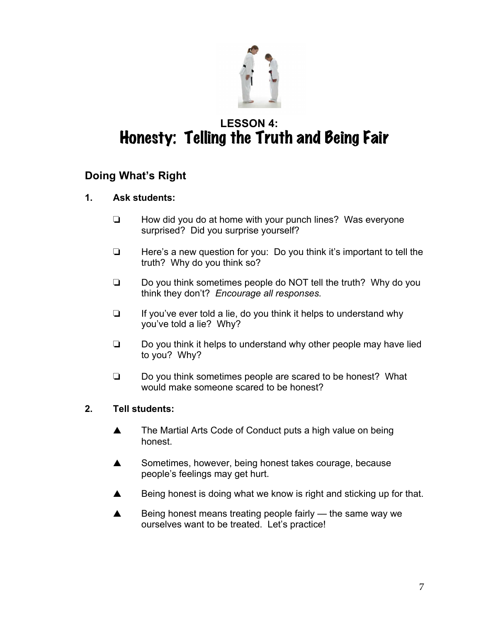

# **LESSON 4:**  Honesty: Telling the Truth and Being Fair

## **Doing What's Right**

- **1. Ask students:**
	- $\Box$  How did you do at home with your punch lines? Was everyone surprised? Did you surprise yourself?
	- $\Box$  Here's a new question for you: Do you think it's important to tell the truth? Why do you think so?
	- $\Box$  Do you think sometimes people do NOT tell the truth? Why do you think they don't? *Encourage all responses.*
	- $\Box$  If you've ever told a lie, do you think it helps to understand why you've told a lie? Why?
	- $\Box$  Do you think it helps to understand why other people may have lied to you? Why?
	- $\Box$  Do you think sometimes people are scared to be honest? What would make someone scared to be honest?

- ▲ The Martial Arts Code of Conduct puts a high value on being honest.
- $\triangle$  Sometimes, however, being honest takes courage, because people's feelings may get hurt.
- $\triangle$  Being honest is doing what we know is right and sticking up for that.
- $\blacktriangle$  Being honest means treating people fairly the same way we ourselves want to be treated. Let's practice!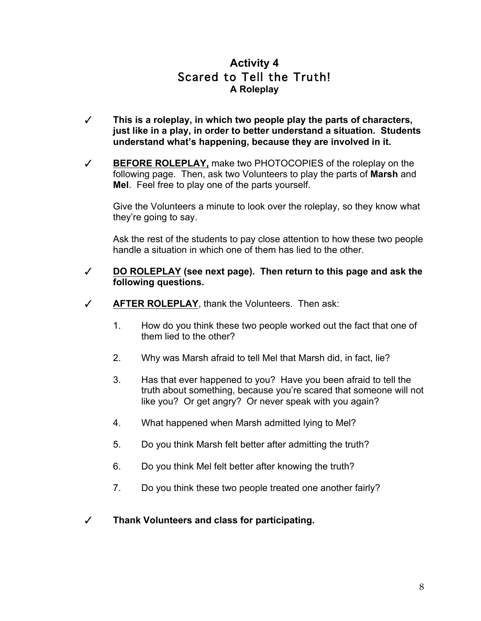## **Activity 4** Scared to Tell the Truth! **A Roleplay**

- # **This is a roleplay, in which two people play the parts of characters, just like in a play, in order to better understand a situation. Students understand what's happening, because they are involved in it.**
- # **BEFORE ROLEPLAY,** make two PHOTOCOPIES of the roleplay on the following page. Then, ask two Volunteers to play the parts of **Marsh** and **Mel**. Feel free to play one of the parts yourself.

Give the Volunteers a minute to look over the roleplay, so they know what they're going to say.

Ask the rest of the students to pay close attention to how these two people handle a situation in which one of them has lied to the other.

#### # **DO ROLEPLAY (see next page). Then return to this page and ask the following questions.**

- $\checkmark$  **AFTER ROLEPLAY**, thank the Volunteers. Then ask:
	- 1. How do you think these two people worked out the fact that one of them lied to the other?
	- 2. Why was Marsh afraid to tell Mel that Marsh did, in fact, lie?
	- 3. Has that ever happened to you? Have you been afraid to tell the truth about something, because you're scared that someone will not like you? Or get angry? Or never speak with you again?
	- 4. What happened when Marsh admitted lying to Mel?
	- 5. Do you think Marsh felt better after admitting the truth?
	- 6. Do you think Mel felt better after knowing the truth?
	- 7. Do you think these two people treated one another fairly?
- # **Thank Volunteers and class for participating.**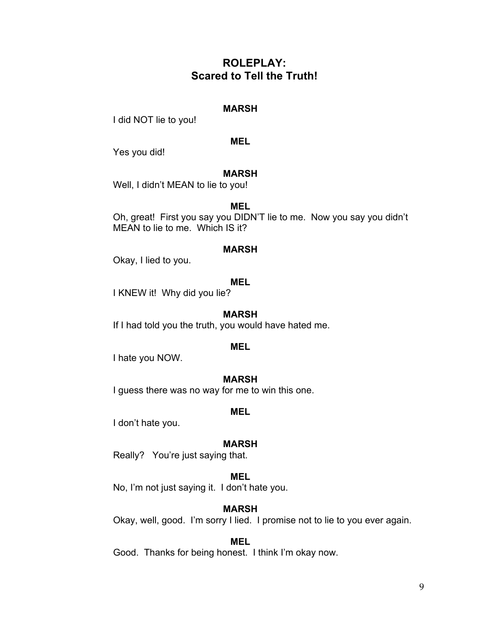## **ROLEPLAY: Scared to Tell the Truth!**

#### **MARSH**

I did NOT lie to you!

#### **MEL**

Yes you did!

#### **MARSH**

Well, I didn't MEAN to lie to you!

#### **MEL**

Oh, great! First you say you DIDN'T lie to me. Now you say you didn't MEAN to lie to me. Which IS it?

#### **MARSH**

Okay, I lied to you.

#### **MEL**

I KNEW it! Why did you lie?

#### **MARSH**

If I had told you the truth, you would have hated me.

#### **MEL**

I hate you NOW.

#### **MARSH**

I guess there was no way for me to win this one.

#### **MEL**

I don't hate you.

#### **MARSH**

Really? You're just saying that.

#### **MEL**

No, I'm not just saying it. I don't hate you.

#### **MARSH**

Okay, well, good. I'm sorry I lied. I promise not to lie to you ever again.

#### **MEL**

Good. Thanks for being honest. I think I'm okay now.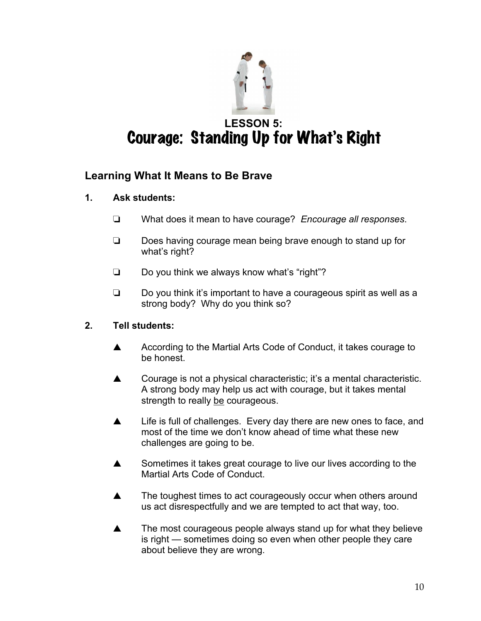

# **LESSON 5:** Courage: Standing Up for What's Right

## **Learning What It Means to Be Brave**

- **1. Ask students:**
	- ! What does it mean to have courage? *Encourage all responses*.
	- $\Box$  Does having courage mean being brave enough to stand up for what's right?
	- $\Box$  Do you think we always know what's "right"?
	- $\Box$  Do you think it's important to have a courageous spirit as well as a strong body? Why do you think so?

- A According to the Martial Arts Code of Conduct, it takes courage to be honest.
- $\triangle$  Courage is not a physical characteristic; it's a mental characteristic. A strong body may help us act with courage, but it takes mental strength to really be courageous.
- $\blacktriangle$  Life is full of challenges. Every day there are new ones to face, and most of the time we don't know ahead of time what these new challenges are going to be.
- $\blacktriangle$  Sometimes it takes great courage to live our lives according to the Martial Arts Code of Conduct.
- $\triangle$  The toughest times to act courageously occur when others around us act disrespectfully and we are tempted to act that way, too.
- $\blacktriangle$  The most courageous people always stand up for what they believe is right — sometimes doing so even when other people they care about believe they are wrong.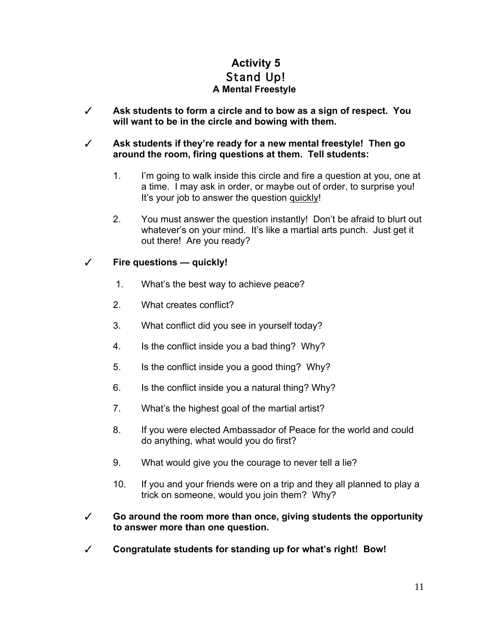## **Activity 5** Stand Up! **A Mental Freestyle**

# **Ask students to form a circle and to bow as a sign of respect. You will want to be in the circle and bowing with them.**

#### # **Ask students if they're ready for a new mental freestyle! Then go around the room, firing questions at them. Tell students:**

- 1. I'm going to walk inside this circle and fire a question at you, one at a time. I may ask in order, or maybe out of order, to surprise you! It's your job to answer the question quickly!
- 2. You must answer the question instantly! Don't be afraid to blurt out whatever's on your mind. It's like a martial arts punch. Just get it out there! Are you ready?

#### # **Fire questions — quickly!**

- 1. What's the best way to achieve peace?
- 2. What creates conflict?
- 3. What conflict did you see in yourself today?
- 4. Is the conflict inside you a bad thing? Why?
- 5. Is the conflict inside you a good thing? Why?
- 6. Is the conflict inside you a natural thing? Why?
- 7. What's the highest goal of the martial artist?
- 8. If you were elected Ambassador of Peace for the world and could do anything, what would you do first?
- 9. What would give you the courage to never tell a lie?
- 10. If you and your friends were on a trip and they all planned to play a trick on someone, would you join them? Why?
- # **Go around the room more than once, giving students the opportunity to answer more than one question.**
- # **Congratulate students for standing up for what's right! Bow!**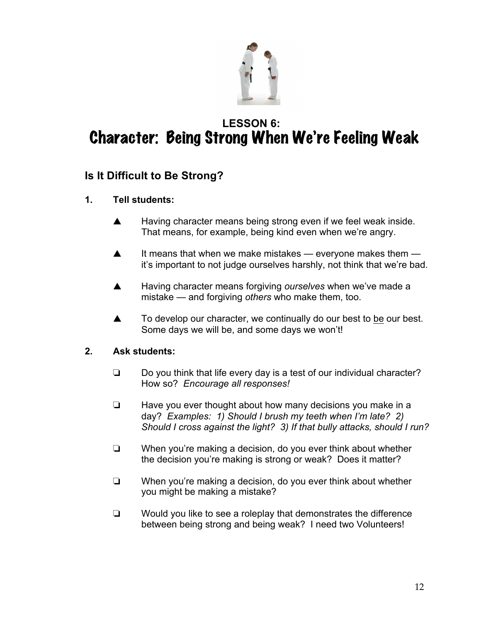

# **LESSON 6:**  Character: Being Strong When We're Feeling Weak

## **Is It Difficult to Be Strong?**

- **1. Tell students:**
	- $\blacktriangle$  Having character means being strong even if we feel weak inside. That means, for example, being kind even when we're angry.
	- $\blacktriangle$  It means that when we make mistakes everyone makes them it's important to not judge ourselves harshly, not think that we're bad.
	- **A** Having character means forgiving *ourselves* when we've made a mistake — and forgiving *others* who make them, too.
	- $\blacktriangle$  To develop our character, we continually do our best to be our best. Some days we will be, and some days we won't!

#### **2. Ask students:**

- $\Box$  Do you think that life every day is a test of our individual character? How so? *Encourage all responses!*
- $\Box$  Have you ever thought about how many decisions you make in a day? *Examples: 1) Should I brush my teeth when I'm late? 2) Should I cross against the light? 3) If that bully attacks, should I run?*
- $\Box$  When you're making a decision, do you ever think about whether the decision you're making is strong or weak? Does it matter?
- $\Box$  When you're making a decision, do you ever think about whether you might be making a mistake?
- $\Box$  Would you like to see a roleplay that demonstrates the difference between being strong and being weak? I need two Volunteers!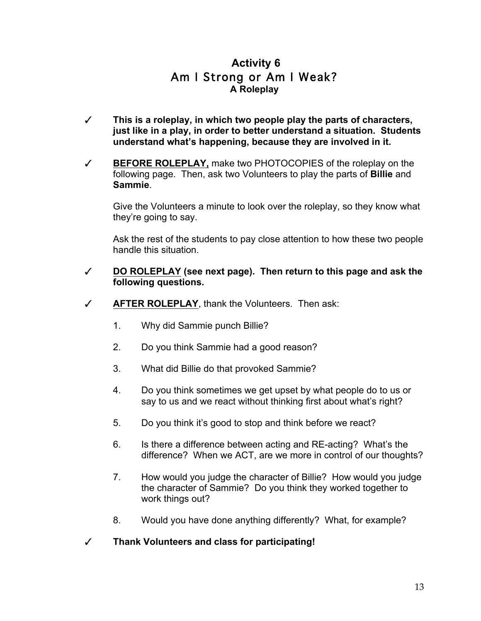## **Activity 6** Am I Strong or Am I Weak? **A Roleplay**

- # **This is a roleplay, in which two people play the parts of characters, just like in a play, in order to better understand a situation. Students understand what's happening, because they are involved in it.**
- # **BEFORE ROLEPLAY,** make two PHOTOCOPIES of the roleplay on the following page. Then, ask two Volunteers to play the parts of **Billie** and **Sammie**.

Give the Volunteers a minute to look over the roleplay, so they know what they're going to say.

Ask the rest of the students to pay close attention to how these two people handle this situation.

- # **DO ROLEPLAY (see next page). Then return to this page and ask the following questions.**
- # **AFTER ROLEPLAY**, thank the Volunteers. Then ask:
	- 1. Why did Sammie punch Billie?
	- 2. Do you think Sammie had a good reason?
	- 3. What did Billie do that provoked Sammie?
	- 4. Do you think sometimes we get upset by what people do to us or say to us and we react without thinking first about what's right?
	- 5. Do you think it's good to stop and think before we react?
	- 6. Is there a difference between acting and RE-acting? What's the difference? When we ACT, are we more in control of our thoughts?
	- 7. How would you judge the character of Billie? How would you judge the character of Sammie? Do you think they worked together to work things out?
	- 8. Would you have done anything differently? What, for example?
- # **Thank Volunteers and class for participating!**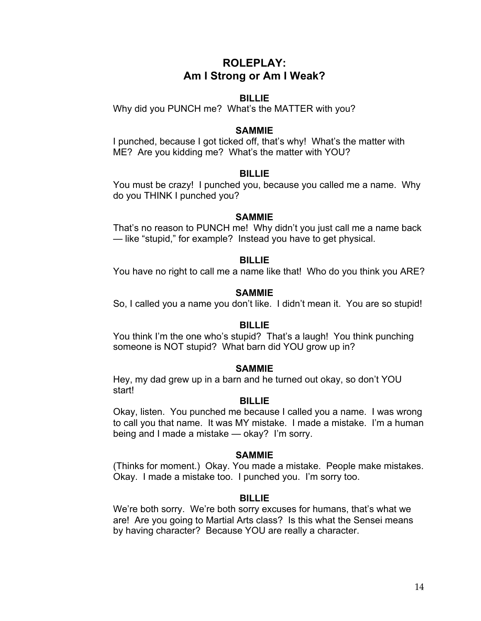## **ROLEPLAY: Am I Strong or Am I Weak?**

#### **BILLIE**

Why did you PUNCH me? What's the MATTER with you?

#### **SAMMIE**

I punched, because I got ticked off, that's why! What's the matter with ME? Are you kidding me? What's the matter with YOU?

#### **BILLIE**

You must be crazy! I punched you, because you called me a name. Why do you THINK I punched you?

#### **SAMMIE**

That's no reason to PUNCH me! Why didn't you just call me a name back — like "stupid," for example? Instead you have to get physical.

#### **BILLIE**

You have no right to call me a name like that! Who do you think you ARE?

#### **SAMMIE**

So, I called you a name you don't like. I didn't mean it. You are so stupid!

#### **BILLIE**

You think I'm the one who's stupid? That's a laugh! You think punching someone is NOT stupid? What barn did YOU grow up in?

#### **SAMMIE**

Hey, my dad grew up in a barn and he turned out okay, so don't YOU start!

#### **BILLIE**

Okay, listen. You punched me because I called you a name. I was wrong to call you that name. It was MY mistake. I made a mistake. I'm a human being and I made a mistake — okay? I'm sorry.

#### **SAMMIE**

(Thinks for moment.) Okay. You made a mistake. People make mistakes. Okay. I made a mistake too. I punched you. I'm sorry too.

#### **BILLIE**

We're both sorry. We're both sorry excuses for humans, that's what we are! Are you going to Martial Arts class? Is this what the Sensei means by having character? Because YOU are really a character.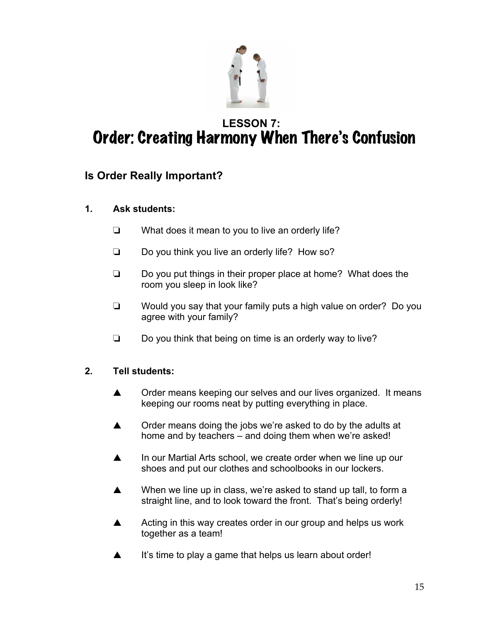

# **LESSON 7:**  Order: Creating Harmony When There's Confusion

## **Is Order Really Important?**

## **1. Ask students:**

- $\Box$  What does it mean to you to live an orderly life?
- $\Box$  Do you think you live an orderly life? How so?
- $\Box$  Do you put things in their proper place at home? What does the room you sleep in look like?
- $\Box$  Would you say that your family puts a high value on order? Do you agree with your family?
- $\Box$  Do you think that being on time is an orderly way to live?

- $\triangle$  Order means keeping our selves and our lives organized. It means keeping our rooms neat by putting everything in place.
- $\triangle$  Order means doing the jobs we're asked to do by the adults at home and by teachers – and doing them when we're asked!
- **A** In our Martial Arts school, we create order when we line up our shoes and put our clothes and schoolbooks in our lockers.
- $\blacktriangle$  When we line up in class, we're asked to stand up tall, to form a straight line, and to look toward the front. That's being orderly!
- A Acting in this way creates order in our group and helps us work together as a team!
- $\triangle$  It's time to play a game that helps us learn about order!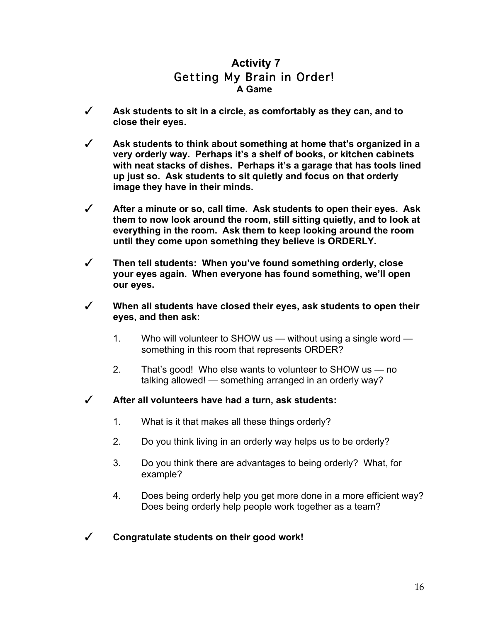## **Activity 7** Getting My Brain in Order! **A Game**

- # **Ask students to sit in a circle, as comfortably as they can, and to close their eyes.**
- # **Ask students to think about something at home that's organized in a very orderly way. Perhaps it's a shelf of books, or kitchen cabinets with neat stacks of dishes. Perhaps it's a garage that has tools lined up just so. Ask students to sit quietly and focus on that orderly image they have in their minds.**
- # **After a minute or so, call time. Ask students to open their eyes. Ask them to now look around the room, still sitting quietly, and to look at everything in the room. Ask them to keep looking around the room until they come upon something they believe is ORDERLY.**
- # **Then tell students: When you've found something orderly, close your eyes again. When everyone has found something, we'll open our eyes.**
- # **When all students have closed their eyes, ask students to open their eyes, and then ask:**
	- 1. Who will volunteer to SHOW us without using a single word something in this room that represents ORDER?
	- 2. That's good! Who else wants to volunteer to SHOW us no talking allowed! — something arranged in an orderly way?
- # **After all volunteers have had a turn, ask students:**
	- 1. What is it that makes all these things orderly?
	- 2. Do you think living in an orderly way helps us to be orderly?
	- 3. Do you think there are advantages to being orderly? What, for example?
	- 4. Does being orderly help you get more done in a more efficient way? Does being orderly help people work together as a team?
- # **Congratulate students on their good work!**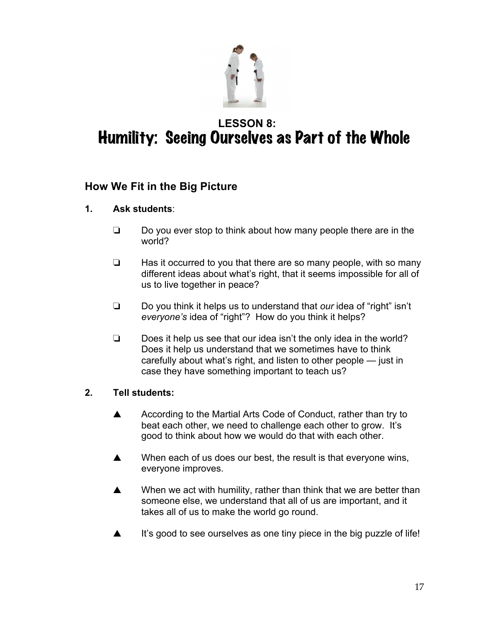

# **LESSON 8:**  Humility: Seeing Ourselves as Part of the Whole

## **How We Fit in the Big Picture**

## **1. Ask students**:

- $\Box$  Do you ever stop to think about how many people there are in the world?
- $\Box$  Has it occurred to you that there are so many people, with so many different ideas about what's right, that it seems impossible for all of us to live together in peace?
- □ Do you think it helps us to understand that *our* idea of "right" isn't *everyone's* idea of "right"? How do you think it helps?
- $\Box$  Does it help us see that our idea isn't the only idea in the world? Does it help us understand that we sometimes have to think carefully about what's right, and listen to other people — just in case they have something important to teach us?

- A According to the Martial Arts Code of Conduct, rather than try to beat each other, we need to challenge each other to grow. It's good to think about how we would do that with each other.
- $\blacktriangle$  When each of us does our best, the result is that everyone wins, everyone improves.
- $\blacktriangle$  When we act with humility, rather than think that we are better than someone else, we understand that all of us are important, and it takes all of us to make the world go round.
- $\blacktriangle$  It's good to see ourselves as one tiny piece in the big puzzle of life!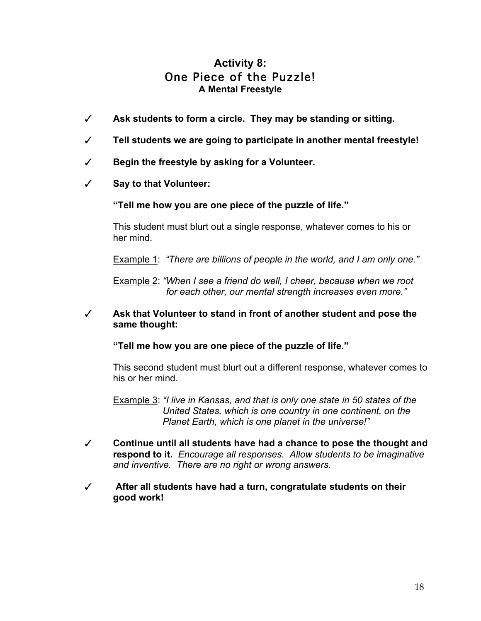## **Activity 8:** One Piece of the Puzzle! **A Mental Freestyle**

- $\checkmark$  Ask students to form a circle. They may be standing or sitting.
- # **Tell students we are going to participate in another mental freestyle!**
- # **Begin the freestyle by asking for a Volunteer.**
- # **Say to that Volunteer:**

**"Tell me how you are one piece of the puzzle of life."** 

This student must blurt out a single response, whatever comes to his or her mind.

Example 1: *"There are billions of people in the world, and I am only one."* 

Example 2: *"When I see a friend do well, I cheer, because when we root for each other, our mental strength increases even more."*

# **Ask that Volunteer to stand in front of another student and pose the same thought:** 

**"Tell me how you are one piece of the puzzle of life."** 

This second student must blurt out a different response, whatever comes to his or her mind.

Example 3: *"I live in Kansas, and that is only one state in 50 states of the United States, which is one country in one continent, on the Planet Earth, which is one planet in the universe!"*

- # **Continue until all students have had a chance to pose the thought and respond to it.** *Encourage all responses. Allow students to be imaginative and inventive. There are no right or wrong answers.*
- # **After all students have had a turn, congratulate students on their good work!**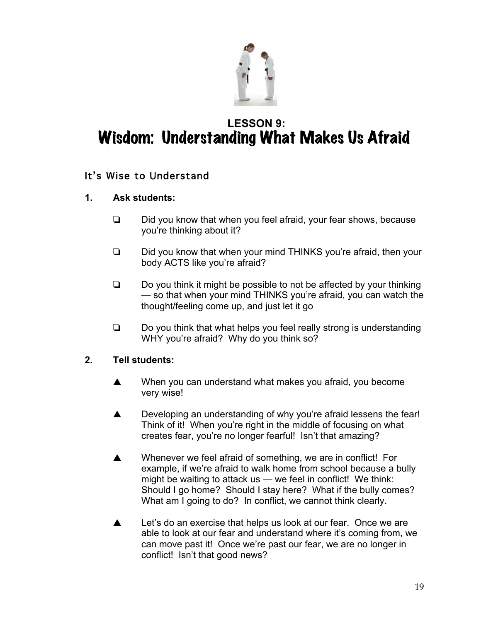

# **LESSON 9:**  Wisdom: Understanding What Makes Us Afraid

## It's Wise to Understand

## **1. Ask students:**

- $\Box$  Did you know that when you feel afraid, your fear shows, because you're thinking about it?
- $\Box$  Did you know that when your mind THINKS you're afraid, then your body ACTS like you're afraid?
- $\Box$  Do you think it might be possible to not be affected by your thinking — so that when your mind THINKS you're afraid, you can watch the thought/feeling come up, and just let it go
- $\Box$  Do you think that what helps you feel really strong is understanding WHY you're afraid? Why do you think so?

- $\blacktriangle$  When you can understand what makes you afraid, you become very wise!
- $\triangle$  Developing an understanding of why you're afraid lessens the fear! Think of it! When you're right in the middle of focusing on what creates fear, you're no longer fearful! Isn't that amazing?
- $\triangle$  Whenever we feel afraid of something, we are in conflict! For example, if we're afraid to walk home from school because a bully might be waiting to attack us — we feel in conflict! We think: Should I go home? Should I stay here? What if the bully comes? What am I going to do? In conflict, we cannot think clearly.
- $\triangle$  Let's do an exercise that helps us look at our fear. Once we are able to look at our fear and understand where it's coming from, we can move past it! Once we're past our fear, we are no longer in conflict! Isn't that good news?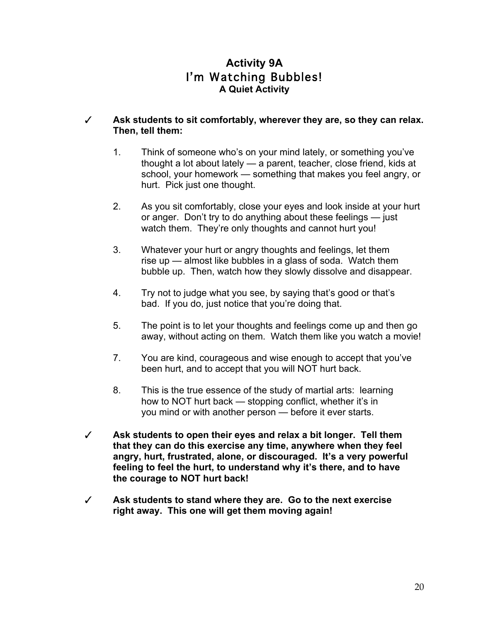## **Activity 9A** I'm Watching Bubbles! **A Quiet Activity**

#### # **Ask students to sit comfortably, wherever they are, so they can relax. Then, tell them:**

- 1. Think of someone who's on your mind lately, or something you've thought a lot about lately — a parent, teacher, close friend, kids at school, your homework — something that makes you feel angry, or hurt. Pick just one thought.
- 2. As you sit comfortably, close your eyes and look inside at your hurt or anger. Don't try to do anything about these feelings — just watch them. They're only thoughts and cannot hurt you!
- 3. Whatever your hurt or angry thoughts and feelings, let them rise up — almost like bubbles in a glass of soda. Watch them bubble up. Then, watch how they slowly dissolve and disappear.
- 4. Try not to judge what you see, by saying that's good or that's bad. If you do, just notice that you're doing that.
- 5. The point is to let your thoughts and feelings come up and then go away, without acting on them. Watch them like you watch a movie!
- 7. You are kind, courageous and wise enough to accept that you've been hurt, and to accept that you will NOT hurt back.
- 8. This is the true essence of the study of martial arts: learning how to NOT hurt back — stopping conflict, whether it's in you mind or with another person — before it ever starts.
- # **Ask students to open their eyes and relax a bit longer. Tell them that they can do this exercise any time, anywhere when they feel angry, hurt, frustrated, alone, or discouraged. It's a very powerful feeling to feel the hurt, to understand why it's there, and to have the courage to NOT hurt back!**
- # **Ask students to stand where they are. Go to the next exercise right away. This one will get them moving again!**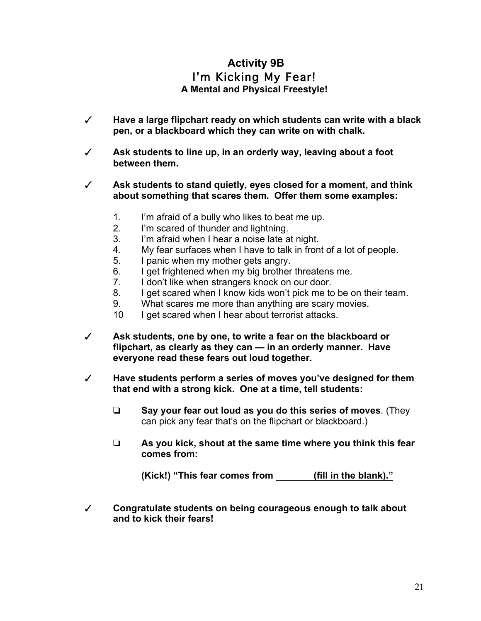## **Activity 9B** I'm Kicking My Fear! **A Mental and Physical Freestyle!**

- # **Have a large flipchart ready on which students can write with a black pen, or a blackboard which they can write on with chalk.**
- # **Ask students to line up, in an orderly way, leaving about a foot between them.**
- # **Ask students to stand quietly, eyes closed for a moment, and think about something that scares them. Offer them some examples:**
	- 1. I'm afraid of a bully who likes to beat me up.
	- 2. I'm scared of thunder and lightning.
	- 3. I'm afraid when I hear a noise late at night.
	- 4. My fear surfaces when I have to talk in front of a lot of people.
	- 5. I panic when my mother gets angry.
	- 6. I get frightened when my big brother threatens me.
	- 7. I don't like when strangers knock on our door.
	- 8. I get scared when I know kids won't pick me to be on their team.
	- 9. What scares me more than anything are scary movies.
	- 10 I get scared when I hear about terrorist attacks.
- # **Ask students, one by one, to write a fear on the blackboard or flipchart, as clearly as they can — in an orderly manner. Have everyone read these fears out loud together.**
- # **Have students perform a series of moves you've designed for them that end with a strong kick. One at a time, tell students:**
	- ! **Say your fear out loud as you do this series of moves**. (They can pick any fear that's on the flipchart or blackboard.)
	- ! **As you kick, shout at the same time where you think this fear comes from:**

**(Kick!) "This fear comes from (fill in the blank)."**

# **Congratulate students on being courageous enough to talk about and to kick their fears!**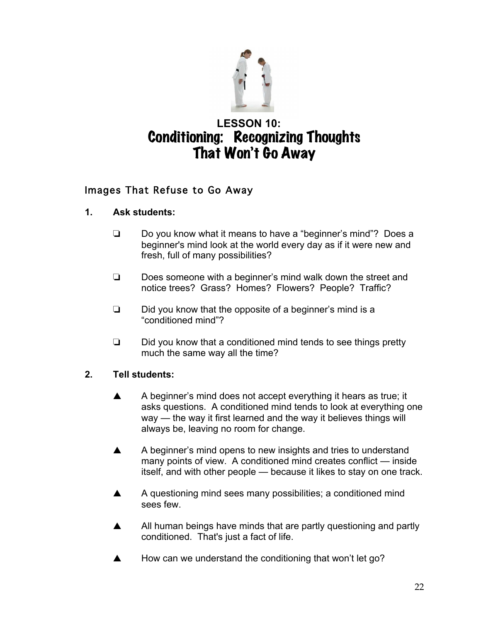

# **LESSON 10:**  Conditioning: Recognizing Thoughts That Won't Go Away

## Images That Refuse to Go Away

#### **1. Ask students:**

- $\Box$  Do you know what it means to have a "beginner's mind"? Does a beginner's mind look at the world every day as if it were new and fresh, full of many possibilities?
- $\Box$  Does someone with a beginner's mind walk down the street and notice trees? Grass? Homes? Flowers? People? Traffic?
- $\Box$  Did you know that the opposite of a beginner's mind is a "conditioned mind"?
- $\Box$  Did you know that a conditioned mind tends to see things pretty much the same way all the time?

- $\blacktriangle$  A beginner's mind does not accept everything it hears as true; it asks questions. A conditioned mind tends to look at everything one way — the way it first learned and the way it believes things will always be, leaving no room for change.
- $\blacktriangle$  A beginner's mind opens to new insights and tries to understand many points of view. A conditioned mind creates conflict — inside itself, and with other people — because it likes to stay on one track.
- A A questioning mind sees many possibilities; a conditioned mind sees few.
- A All human beings have minds that are partly questioning and partly conditioned. That's just a fact of life.
- $\blacktriangle$  How can we understand the conditioning that won't let go?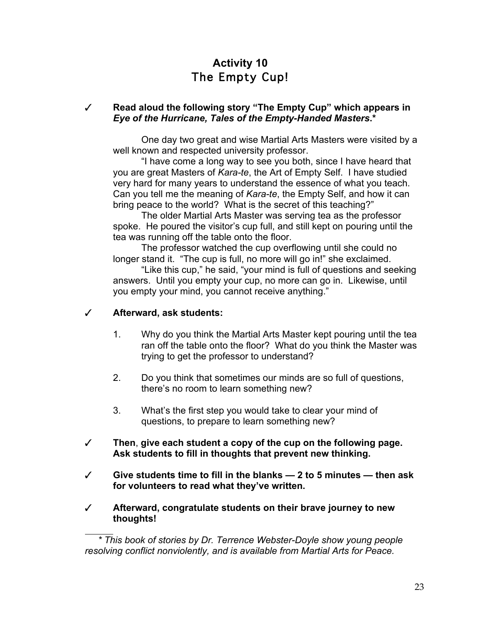## **Activity 10** The Empty Cup!

#### # **Read aloud the following story "The Empty Cup" which appears in**  *Eye of the Hurricane, Tales of the Empty-Handed Masters***.\***

One day two great and wise Martial Arts Masters were visited by a well known and respected university professor.

"I have come a long way to see you both, since I have heard that you are great Masters of *Kara-te*, the Art of Empty Self. I have studied very hard for many years to understand the essence of what you teach. Can you tell me the meaning of *Kara-te*, the Empty Self, and how it can bring peace to the world? What is the secret of this teaching?"

The older Martial Arts Master was serving tea as the professor spoke. He poured the visitor's cup full, and still kept on pouring until the tea was running off the table onto the floor.

The professor watched the cup overflowing until she could no longer stand it. "The cup is full, no more will go in!" she exclaimed.

"Like this cup," he said, "your mind is full of questions and seeking answers. Until you empty your cup, no more can go in. Likewise, until you empty your mind, you cannot receive anything."

#### # **Afterward, ask students:**

- 1. Why do you think the Martial Arts Master kept pouring until the tea ran off the table onto the floor? What do you think the Master was trying to get the professor to understand?
- 2. Do you think that sometimes our minds are so full of questions, there's no room to learn something new?
- 3. What's the first step you would take to clear your mind of questions, to prepare to learn something new?
- # **Then**, **give each student a copy of the cup on the following page. Ask students to fill in thoughts that prevent new thinking.**
- # **Give students time to fill in the blanks — 2 to 5 minutes — then ask for volunteers to read what they've written.**
- # **Afterward, congratulate students on their brave journey to new thoughts!**

*<sup>\*</sup> This book of stories by Dr. Terrence Webster-Doyle show young people resolving conflict nonviolently, and is available from Martial Arts for Peace.*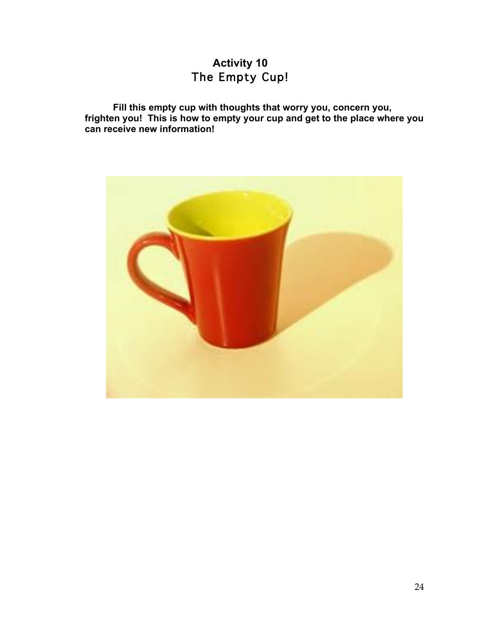## **Activity 10** The Empty Cup!

**Fill this empty cup with thoughts that worry you, concern you, frighten you! This is how to empty your cup and get to the place where you can receive new information!**

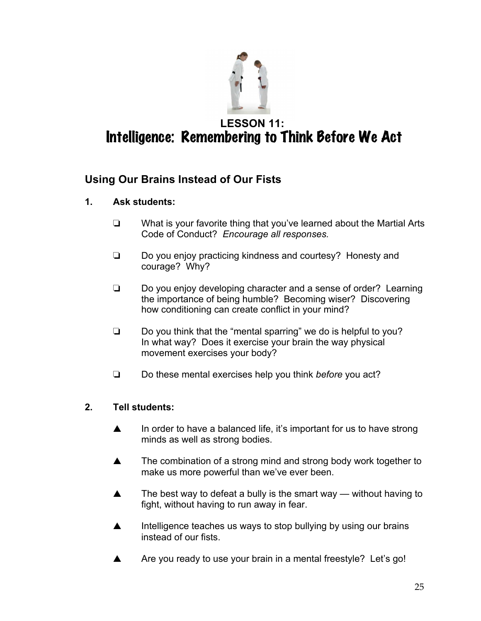

## **LESSON 11:**  Intelligence: Remembering to Think Before We Act

## **Using Our Brains Instead of Our Fists**

- **1. Ask students:**
	- $\Box$  What is your favorite thing that you've learned about the Martial Arts Code of Conduct? *Encourage all responses.*
	- $\Box$  Do you enjoy practicing kindness and courtesy? Honesty and courage? Why?
	- $\Box$  Do you enjoy developing character and a sense of order? Learning the importance of being humble? Becoming wiser? Discovering how conditioning can create conflict in your mind?
	- $\Box$  Do you think that the "mental sparring" we do is helpful to you? In what way? Does it exercise your brain the way physical movement exercises your body?
	- □ Do these mental exercises help you think *before* you act?

- $\blacktriangle$  In order to have a balanced life, it's important for us to have strong minds as well as strong bodies.
- $\blacktriangle$  The combination of a strong mind and strong body work together to make us more powerful than we've ever been.
- $\triangle$  The best way to defeat a bully is the smart way without having to fight, without having to run away in fear.
- $\triangle$  Intelligence teaches us ways to stop bullying by using our brains instead of our fists.
- A Are you ready to use your brain in a mental freestyle? Let's go!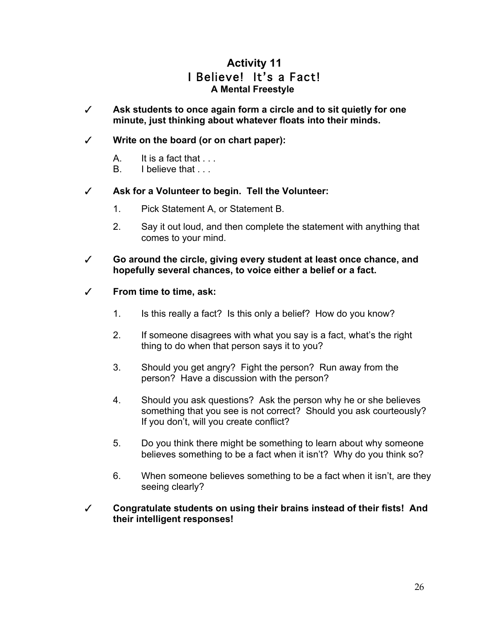## **Activity 11** I Believe! It's a Fact! **A Mental Freestyle**

# **Ask students to once again form a circle and to sit quietly for one minute, just thinking about whatever floats into their minds.**

#### # **Write on the board (or on chart paper):**

- A. It is a fact that ...
- B. I believe that ...

#### # **Ask for a Volunteer to begin. Tell the Volunteer:**

- 1. Pick Statement A, or Statement B.
- 2. Say it out loud, and then complete the statement with anything that comes to your mind.
- # **Go around the circle, giving every student at least once chance, and hopefully several chances, to voice either a belief or a fact.**

#### # **From time to time, ask:**

- 1. Is this really a fact? Is this only a belief? How do you know?
- 2. If someone disagrees with what you say is a fact, what's the right thing to do when that person says it to you?
- 3. Should you get angry? Fight the person? Run away from the person? Have a discussion with the person?
- 4. Should you ask questions? Ask the person why he or she believes something that you see is not correct? Should you ask courteously? If you don't, will you create conflict?
- 5. Do you think there might be something to learn about why someone believes something to be a fact when it isn't? Why do you think so?
- 6. When someone believes something to be a fact when it isn't, are they seeing clearly?

#### # **Congratulate students on using their brains instead of their fists! And their intelligent responses!**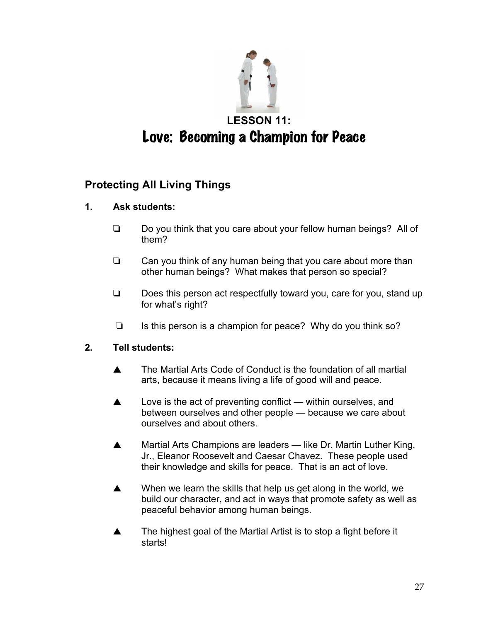

## **Protecting All Living Things**

#### **1. Ask students:**

- $\Box$  Do you think that you care about your fellow human beings? All of them?
- $\Box$  Can you think of any human being that you care about more than other human beings? What makes that person so special?
- $\Box$  Does this person act respectfully toward you, care for you, stand up for what's right?
- $\Box$  Is this person is a champion for peace? Why do you think so?

- $\triangle$  The Martial Arts Code of Conduct is the foundation of all martial arts, because it means living a life of good will and peace.
- $\triangle$  Love is the act of preventing conflict within ourselves, and between ourselves and other people — because we care about ourselves and about others.
- **A** Martial Arts Champions are leaders like Dr. Martin Luther King, Jr., Eleanor Roosevelt and Caesar Chavez. These people used their knowledge and skills for peace. That is an act of love.
- $\triangle$  When we learn the skills that help us get along in the world, we build our character, and act in ways that promote safety as well as peaceful behavior among human beings.
- $\triangle$  The highest goal of the Martial Artist is to stop a fight before it starts!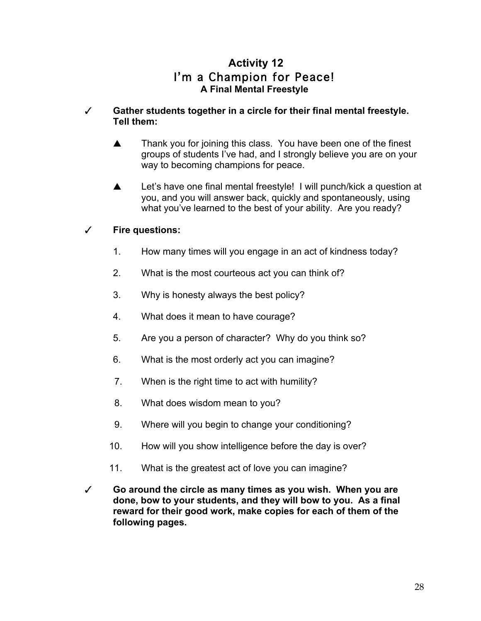## **Activity 12** I'm a Champion for Peace! **A Final Mental Freestyle**

#### # **Gather students together in a circle for their final mental freestyle. Tell them:**

- $\blacktriangle$  Thank you for joining this class. You have been one of the finest groups of students I've had, and I strongly believe you are on your way to becoming champions for peace.
- A Let's have one final mental freestyle! I will punch/kick a question at you, and you will answer back, quickly and spontaneously, using what you've learned to the best of your ability. Are you ready?

## # **Fire questions:**

- 1. How many times will you engage in an act of kindness today?
- 2. What is the most courteous act you can think of?
- 3. Why is honesty always the best policy?
- 4. What does it mean to have courage?
- 5. Are you a person of character? Why do you think so?
- 6. What is the most orderly act you can imagine?
- 7. When is the right time to act with humility?
- 8. What does wisdom mean to you?
- 9. Where will you begin to change your conditioning?
- 10. How will you show intelligence before the day is over?
- 11. What is the greatest act of love you can imagine?
- # **Go around the circle as many times as you wish. When you are done, bow to your students, and they will bow to you. As a final reward for their good work, make copies for each of them of the following pages.**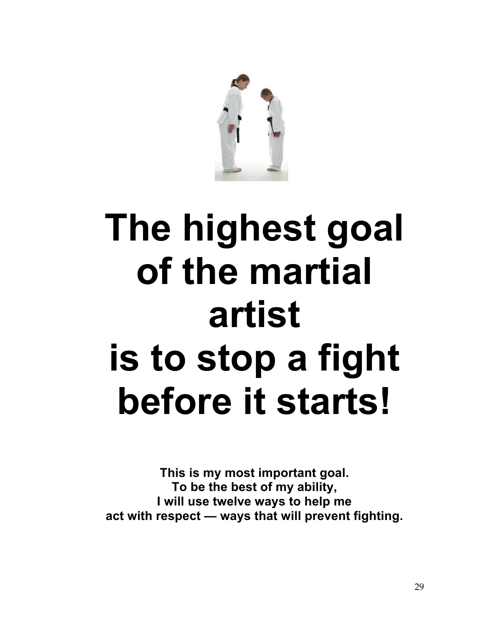

# **The highest goal of the martial artist is to stop a fight before it starts!**

**This is my most important goal. To be the best of my ability, I will use twelve ways to help me act with respect — ways that will prevent fighting.**